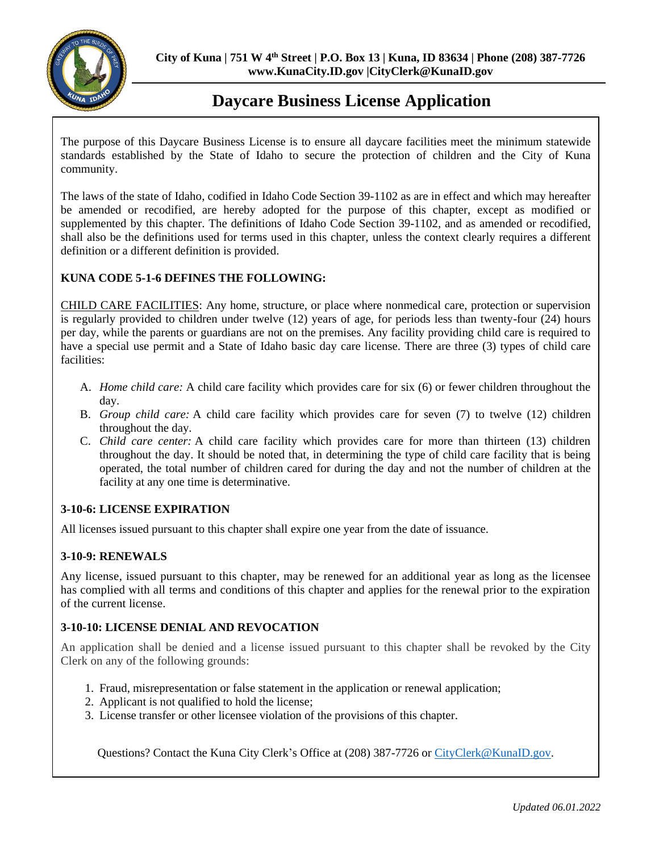

## **Daycare Business License Application**

The purpose of this Daycare Business License is to ensure all daycare facilities meet the minimum statewide standards established by the State of Idaho to secure the protection of children and the City of Kuna community.

The laws of the state of Idaho, codified in Idaho Code Section 39-1102 as are in effect and which may hereafter be amended or recodified, are hereby adopted for the purpose of this chapter, except as modified or supplemented by this chapter. The definitions of Idaho Code Section 39-1102, and as amended or recodified, shall also be the definitions used for terms used in this chapter, unless the context clearly requires a different definition or a different definition is provided.

### **KUNA CODE 5-1-6 DEFINES THE FOLLOWING:**

CHILD CARE FACILITIES: Any home, structure, or place where nonmedical care, protection or supervision is regularly provided to children under twelve (12) years of age, for periods less than twenty-four (24) hours per day, while the parents or guardians are not on the premises. Any facility providing child care is required to have a special use permit and a State of Idaho basic day care license. There are three (3) types of child care facilities:

- A. *Home child care:* A child care facility which provides care for six (6) or fewer children throughout the day.
- B. *Group child care:* A child care facility which provides care for seven (7) to twelve (12) children throughout the day.
- C. *Child care center:* A child care facility which provides care for more than thirteen (13) children throughout the day. It should be noted that, in determining the type of child care facility that is being operated, the total number of children cared for during the day and not the number of children at the facility at any one time is determinative.

### **3-10-6: LICENSE EXPIRATION**

All licenses issued pursuant to this chapter shall expire one year from the date of issuance.

### **3-10-9: RENEWALS**

Any license, issued pursuant to this chapter, may be renewed for an additional year as long as the licensee has complied with all terms and conditions of this chapter and applies for the renewal prior to the expiration of the current license.

### **3-10-10: LICENSE DENIAL AND REVOCATION**

An application shall be denied and a license issued pursuant to this chapter shall be revoked by the City Clerk on any of the following grounds:

- 1. Fraud, misrepresentation or false statement in the application or renewal application;
- 2. Applicant is not qualified to hold the license;
- 3. License transfer or other licensee violation of the provisions of this chapter.

Questions? Contact the Kuna City Clerk's Office at (208) 387-7726 or [CityClerk@KunaID.gov.](mailto:CityClerk@KunaID.gov)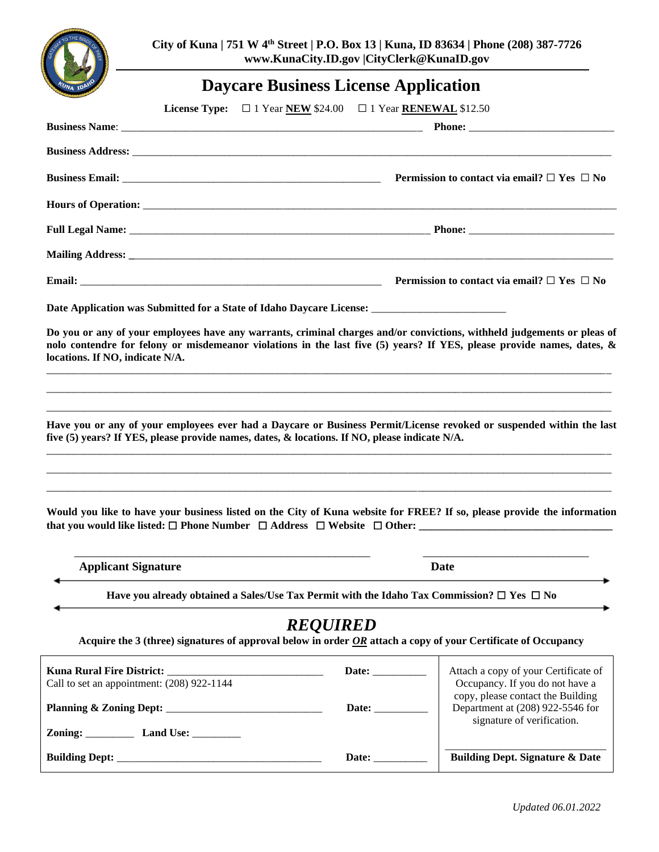

**City of Kuna | 751 W 4 th Street | P.O. Box 13 | Kuna, ID 83634 | Phone (208) 387-7726 www.KunaCity.ID.gov |CityClerk@KunaID.gov**

# **Daycare Business License Application**

|                                                                                                                                                                                                                                                                                                                                                                                                                                                                           | <b>License Type:</b> $\Box$ 1 Year <b>NEW</b> \$24.00 $\Box$ 1 Year <b>RENEWAL</b> \$12.50                                       |                                                                                                          |
|---------------------------------------------------------------------------------------------------------------------------------------------------------------------------------------------------------------------------------------------------------------------------------------------------------------------------------------------------------------------------------------------------------------------------------------------------------------------------|----------------------------------------------------------------------------------------------------------------------------------|----------------------------------------------------------------------------------------------------------|
|                                                                                                                                                                                                                                                                                                                                                                                                                                                                           |                                                                                                                                  |                                                                                                          |
|                                                                                                                                                                                                                                                                                                                                                                                                                                                                           |                                                                                                                                  |                                                                                                          |
|                                                                                                                                                                                                                                                                                                                                                                                                                                                                           |                                                                                                                                  | Permission to contact via email? $\Box$ Yes $\Box$ No                                                    |
|                                                                                                                                                                                                                                                                                                                                                                                                                                                                           |                                                                                                                                  |                                                                                                          |
|                                                                                                                                                                                                                                                                                                                                                                                                                                                                           |                                                                                                                                  |                                                                                                          |
|                                                                                                                                                                                                                                                                                                                                                                                                                                                                           |                                                                                                                                  |                                                                                                          |
|                                                                                                                                                                                                                                                                                                                                                                                                                                                                           | Permission to contact via email? $\Box$ Yes $\Box$ No                                                                            |                                                                                                          |
|                                                                                                                                                                                                                                                                                                                                                                                                                                                                           |                                                                                                                                  |                                                                                                          |
| Do you or any of your employees have any warrants, criminal charges and/or convictions, withheld judgements or pleas of<br>nolo contendre for felony or misdemeanor violations in the last five (5) years? If YES, please provide names, dates, &<br>locations. If NO, indicate N/A.                                                                                                                                                                                      |                                                                                                                                  |                                                                                                          |
| Have you or any of your employees ever had a Daycare or Business Permit/License revoked or suspended within the last<br>five (5) years? If YES, please provide names, dates, & locations. If NO, please indicate N/A.<br><u> 1989 - Johann Stoff, deutscher Stoff, der Stoff, der Stoff, der Stoff, der Stoff, der Stoff, der Stoff, der S</u><br>Would you like to have your business listed on the City of Kuna website for FREE? If so, please provide the information |                                                                                                                                  |                                                                                                          |
| <b>Applicant Signature</b>                                                                                                                                                                                                                                                                                                                                                                                                                                                |                                                                                                                                  | Date                                                                                                     |
| Have you already obtained a Sales/Use Tax Permit with the Idaho Tax Commission? $\Box$ Yes $\Box$ No                                                                                                                                                                                                                                                                                                                                                                      |                                                                                                                                  |                                                                                                          |
| Acquire the 3 (three) signatures of approval below in order $OR$ attach a copy of your Certificate of Occupancy                                                                                                                                                                                                                                                                                                                                                           | <b>REQUIRED</b>                                                                                                                  |                                                                                                          |
| Kuna Rural Fire District: _                                                                                                                                                                                                                                                                                                                                                                                                                                               | Date:                                                                                                                            | Attach a copy of your Certificate of                                                                     |
| Call to set an appointment: (208) 922-1144                                                                                                                                                                                                                                                                                                                                                                                                                                | Date:                                                                                                                            | Occupancy. If you do not have a<br>copy, please contact the Building<br>Department at (208) 922-5546 for |
| Zoning: Land Use: ________                                                                                                                                                                                                                                                                                                                                                                                                                                                |                                                                                                                                  | signature of verification.                                                                               |
|                                                                                                                                                                                                                                                                                                                                                                                                                                                                           | Date: $\sqrt{\frac{2}{1-\frac{1}{2}} \cdot \frac{2}{1-\frac{1}{2}} \cdot \frac{2}{1-\frac{1}{2}} \cdot \frac{2}{1-\frac{1}{2}}}$ | <b>Building Dept. Signature &amp; Date</b>                                                               |
|                                                                                                                                                                                                                                                                                                                                                                                                                                                                           |                                                                                                                                  |                                                                                                          |